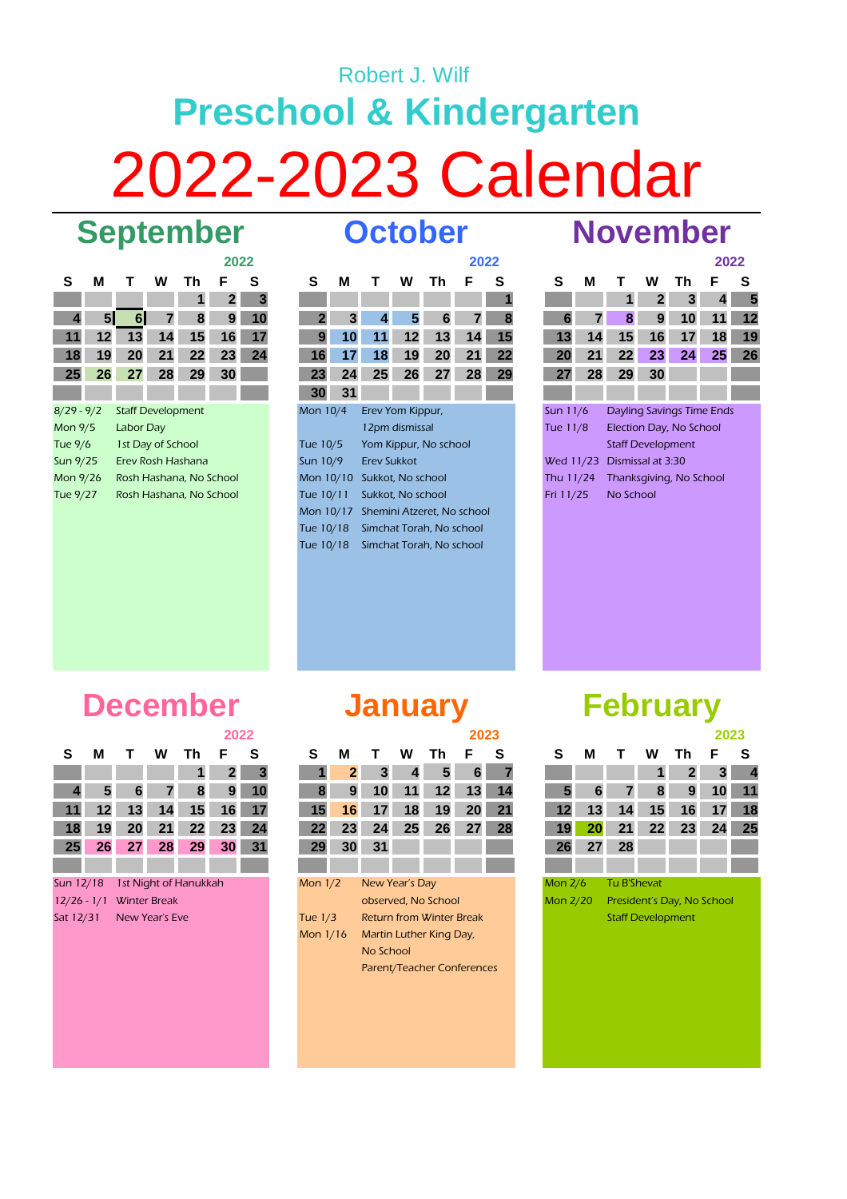## Robert J. Wilf **Preschool & Kindergarten** 2022-2023 Calendar **September October November**

## **2022**

|                 |    |           |                          |                                | ZUZZ           |    |
|-----------------|----|-----------|--------------------------|--------------------------------|----------------|----|
| S               | м  | Т         | W                        | Th                             | F              | S  |
|                 |    |           |                          | 1                              | $\overline{2}$ | 3  |
| 4               | 51 | 61        | 7                        | 8                              | 9              | 10 |
| 11              | 12 | 13        | 14                       | 15                             | 16             | 17 |
| 18              | 19 | 20        | 21                       | 22                             | 23             | 24 |
| 25              | 26 | 27        | 28                       | 29                             | 30             |    |
|                 |    |           |                          |                                |                |    |
| $8/29 - 9/2$    |    |           | <b>Staff Development</b> |                                |                |    |
| Mon 9/5         |    | Labor Day |                          |                                |                |    |
| Tue 9/6         |    |           | 1st Day of School        |                                |                |    |
| Sun 9/25        |    |           |                          | Erev Rosh Hashana              |                |    |
| Mon 9/26        |    |           |                          | Rosh Hashana, No School        |                |    |
| $T_{1,19}$ 0/77 |    |           |                          | <b>Poch Hachana, No School</b> |                |    |

| м              |    | w              | Τh        | F                                                                  | S  |                                                            | S              | м  |                                                                                                   | w  | Τh                       | F                                                                            | S                                                                             |                                    | S  | М  |                                                             | W  | Τh        | F                                             | <b>S</b>                                                                                |
|----------------|----|----------------|-----------|--------------------------------------------------------------------|----|------------------------------------------------------------|----------------|----|---------------------------------------------------------------------------------------------------|----|--------------------------|------------------------------------------------------------------------------|-------------------------------------------------------------------------------|------------------------------------|----|----|-------------------------------------------------------------|----|-----------|-----------------------------------------------|-----------------------------------------------------------------------------------------|
|                |    |                |           |                                                                    | 3  |                                                            |                |    |                                                                                                   |    |                          |                                                                              |                                                                               |                                    |    |    |                                                             |    | 3         | 4                                             | 5                                                                                       |
| 5 <sub>l</sub> | 6  | $\overline{7}$ | 8         | 9                                                                  | 10 |                                                            | $\overline{2}$ | 3  |                                                                                                   | 5  | 6                        |                                                                              | 8                                                                             |                                    | 6  |    | 8                                                           | 9  | 10        |                                               | 12                                                                                      |
| $12 \,$        | 13 | 14             | 15        | 16                                                                 | 17 |                                                            | 9              | 10 | 11                                                                                                | 12 | 13                       | 14                                                                           | 15                                                                            |                                    | 13 | 14 | 15                                                          | 16 | 17        | 18                                            | 19                                                                                      |
| 19             | 20 | 21             | 22        | 23                                                                 | 24 |                                                            | 16             |    | 18                                                                                                | 19 | 20                       | 21                                                                           | 22                                                                            |                                    | 20 | 21 | 22                                                          | 23 | 24        | 25                                            | 26                                                                                      |
|                | 27 | 28             | 29        | 30                                                                 |    |                                                            | 23             | 24 | 25                                                                                                |    | 27                       | 28                                                                           | 29                                                                            |                                    | 27 | 28 | 29                                                          | 30 |           |                                               |                                                                                         |
|                |    |                |           |                                                                    |    |                                                            | 30             | 31 |                                                                                                   |    |                          |                                                                              |                                                                               |                                    |    |    |                                                             |    |           |                                               |                                                                                         |
| $8/29 - 9/2$   |    |                |           |                                                                    |    |                                                            |                |    |                                                                                                   |    |                          |                                                                              |                                                                               |                                    |    |    |                                                             |    |           |                                               |                                                                                         |
| Mon 9/5        |    |                |           |                                                                    |    |                                                            |                |    |                                                                                                   |    |                          |                                                                              |                                                                               |                                    |    |    |                                                             |    |           |                                               |                                                                                         |
| Tue 9/6        |    |                |           |                                                                    |    |                                                            |                |    |                                                                                                   |    |                          |                                                                              |                                                                               |                                    |    |    |                                                             |    |           |                                               |                                                                                         |
| Sun 9/25       |    |                |           |                                                                    |    |                                                            |                |    |                                                                                                   |    |                          |                                                                              |                                                                               |                                    |    |    |                                                             |    |           |                                               |                                                                                         |
| Mon 9/26       |    |                |           |                                                                    |    |                                                            |                |    |                                                                                                   |    |                          |                                                                              |                                                                               |                                    |    |    |                                                             |    |           |                                               |                                                                                         |
| Tue 9/27       |    |                |           |                                                                    |    |                                                            |                |    |                                                                                                   |    |                          |                                                                              |                                                                               |                                    |    |    |                                                             |    |           |                                               |                                                                                         |
|                |    |                |           |                                                                    |    |                                                            |                |    |                                                                                                   |    |                          |                                                                              |                                                                               |                                    |    |    |                                                             |    |           |                                               |                                                                                         |
|                |    |                |           |                                                                    |    |                                                            |                |    |                                                                                                   |    |                          |                                                                              |                                                                               |                                    |    |    |                                                             |    |           |                                               |                                                                                         |
|                |    |                |           |                                                                    |    |                                                            |                |    |                                                                                                   |    |                          |                                                                              |                                                                               |                                    |    |    |                                                             |    |           |                                               |                                                                                         |
|                |    | 26             | Labor Day | <b>Staff Development</b><br>1st Day of School<br>Erev Rosh Hashana |    | 2022<br>Rosh Hashana, No School<br>Rosh Hashana, No School |                |    | Mon 10/4<br>Tue 10/5<br>Sun 10/9<br>Mon 10/10<br>Tue 10/11<br>Mon 10/17<br>Tue 10/18<br>Tue 10/18 |    | 26<br><b>Erev Sukkot</b> | Erev Yom Kippur,<br>12pm dismissal<br>Sukkot, No school<br>Sukkot, No school | Yom Kippur, No school<br>Simchat Torah, No school<br>Simchat Torah, No school | 2022<br>Shemini Atzeret, No school |    |    | Sun 11/6<br>Tue 11/8<br>Wed 11/23<br>Thu 11/24<br>Fri 11/25 |    | No School | <b>Staff Development</b><br>Dismissal at 3:30 | 2022<br>Dayling Savings Time Ends<br>Election Day, No School<br>Thanksgiving, No School |

|           |    |                           |              |     | 2022 |    |
|-----------|----|---------------------------|--------------|-----|------|----|
| s         | м  | T.                        | w            | Th. | F    | s  |
|           |    | 1                         | $\mathbf{2}$ | 3   | 4    | 5  |
| 6         | 7  | 8                         | 9            | 10  | 11   | 12 |
| 13        | 14 | 15                        | 16           | 17  | 18   | 19 |
| 20        | 21 | 22                        | 23           | 24  | 25   | 26 |
| 27        | 28 | 29                        | 30           |     |      |    |
|           |    |                           |              |     |      |    |
| Sun 11/6  |    | Dayling Savings Time Ends |              |     |      |    |
| Tue 11/8  |    | Election Day, No School   |              |     |      |    |
|           |    | <b>Staff Development</b>  |              |     |      |    |
| Wed 11/23 |    | Dismissal at 3:30         |              |     |      |    |
| Thu 11/24 |    | Thanksgiving, No School   |              |     |      |    |
| Fri 11/25 |    | No School                 |              |     |      |    |
|           |    |                           |              |     |      |    |

### **2022 December January**

|    |     |  |                             | LULL |  |
|----|-----|--|-----------------------------|------|--|
| S. | - M |  | T W Th F S                  |      |  |
|    |     |  | $1 \quad 1 \quad 2 \quad 3$ |      |  |
|    |     |  | 4 5 6 7 8 9 10              |      |  |
|    |     |  | 11 12 13 14 15 16 17        |      |  |
|    |     |  | 18 19 20 21 22 23 24        |      |  |
|    |     |  | 25 26 27 28 29 30 31        |      |  |
|    |     |  |                             |      |  |

|               | Sun 12/18 1st Night of Hanukka |
|---------------|--------------------------------|
|               | 12/26 - 1/1 Winter Break       |
| C – + 1 גר) 1 | Nouvelle Fue                   |

|               |         |                |                     |                       | 2022         |    |            |                 |                |    |                                 | 2023 |     |                |    |             |                          |                            | 2023 |
|---------------|---------|----------------|---------------------|-----------------------|--------------|----|------------|-----------------|----------------|----|---------------------------------|------|-----|----------------|----|-------------|--------------------------|----------------------------|------|
| S             | м       |                | w                   | Τh                    | F            | S  | S          | м               |                | w  | Тh                              | F    | S   | S              | м  |             | w                        | Τh                         | F    |
|               |         |                |                     |                       | $\mathbf{2}$ |    |            | $\mathbf{2}$    | 3              |    | 5                               | 6    |     |                |    |             |                          |                            | 3    |
| 4             | 5       | 6              |                     | 8                     | 9            | 10 | 8          | 9               | 10             | 11 | 12                              | 13   | -14 | 5              | 6  |             | 8                        | 9                          | 10   |
| 11            | $12 \,$ | 13             | 14                  | 15                    | 16           | 17 | 15         | 16              |                | 18 | 19                              | 20   | 21  |                | 13 | 14          | 15                       | 16                         | 17   |
| 18            | 19      | 20             | 21                  | $22 \,$               | 23           | 24 | $22 \,$    | 23              | 24             | 25 | 26                              | 27   | 28  | 19             | 20 |             | 22                       | 23                         | 24   |
| 25            | 26      | 27             | 28                  | 29                    | 30           | 31 | 29         | 30 <sup>1</sup> | 31             |    |                                 |      |     | 26             | 27 | 28          |                          |                            |      |
|               |         |                |                     |                       |              |    |            |                 |                |    |                                 |      |     |                |    |             |                          |                            |      |
| Sun 12/18     |         |                |                     | 1st Night of Hanukkah |              |    | Mon $1/2$  |                 | New Year's Day |    |                                 |      |     | <b>Mon 2/6</b> |    | Tu B'Shevat |                          |                            |      |
| $12/26 - 1/1$ |         |                | <b>Winter Break</b> |                       |              |    |            |                 |                |    | observed, No School             |      |     | Mon 2/20       |    |             |                          | President's Day, No School |      |
| Sat 12/31     |         | New Year's Eve |                     |                       |              |    | Tue $1/3$  |                 |                |    | <b>Return from Winter Break</b> |      |     |                |    |             | <b>Staff Development</b> |                            |      |
|               |         |                |                     |                       |              |    | Mon $1/16$ |                 |                |    | Martin Luther King Day,         |      |     |                |    |             |                          |                            |      |

Parent/Teacher Conferences

No School

## **February**

|    |                 |                     |    |                       | 2022            |          |           |    |                |    |                     | 2023            |    |           |    |             |         |                            | 2023 |                |
|----|-----------------|---------------------|----|-----------------------|-----------------|----------|-----------|----|----------------|----|---------------------|-----------------|----|-----------|----|-------------|---------|----------------------------|------|----------------|
|    | м               | Т                   | w  | Τh                    | E               | <b>S</b> | S         | м  |                | w  | I h                 | F               | S  | S         | м  |             | w       | Τh                         | F    |                |
|    |                 |                     |    |                       |                 | - 3      |           |    | 3              | 4  | 5                   | 6               |    |           |    |             |         |                            | 3    | $\overline{4}$ |
|    | 5               | 6                   |    | 8                     | 9               | 10       |           | 9  |                |    | 12                  | 13              | 14 | 5         | 6  |             | 8       | 9                          | 10   | 11             |
| 11 | 12              | 13                  | 14 | 15                    | 16 <sub>1</sub> | 17       | 15        | 16 |                | 18 | 19                  | 20              | 21 |           |    | 14          | 15      | 16                         | 17   | 18             |
| 18 | 19              | 20                  | 21 | 22                    | 23 <sup>1</sup> | - 24     |           | 23 | 24             | 25 | 26                  | 27 <sub>1</sub> | 28 | 19        |    | 21          | $22 \,$ | 23                         | 24   | - 25           |
| 25 | 26 <sup>1</sup> | 27                  | 28 | 29                    | 30 <sup>1</sup> | 31       | 29        | 30 | 31             |    |                     |                 |    | 26        | 27 | 28          |         |                            |      |                |
|    |                 |                     |    |                       |                 |          |           |    |                |    |                     |                 |    |           |    |             |         |                            |      |                |
|    | n 12/18         |                     |    | 1st Night of Hanukkah |                 |          | Mon $1/2$ |    | New Year's Day |    |                     |                 |    | Mon $2/6$ |    | Tu B'Shevat |         |                            |      |                |
|    | $/26 - 1/1$     | <b>Winter Break</b> |    |                       |                 |          |           |    |                |    | observed, No School |                 |    | Mon 2/20  |    |             |         | President's Day, No School |      |                |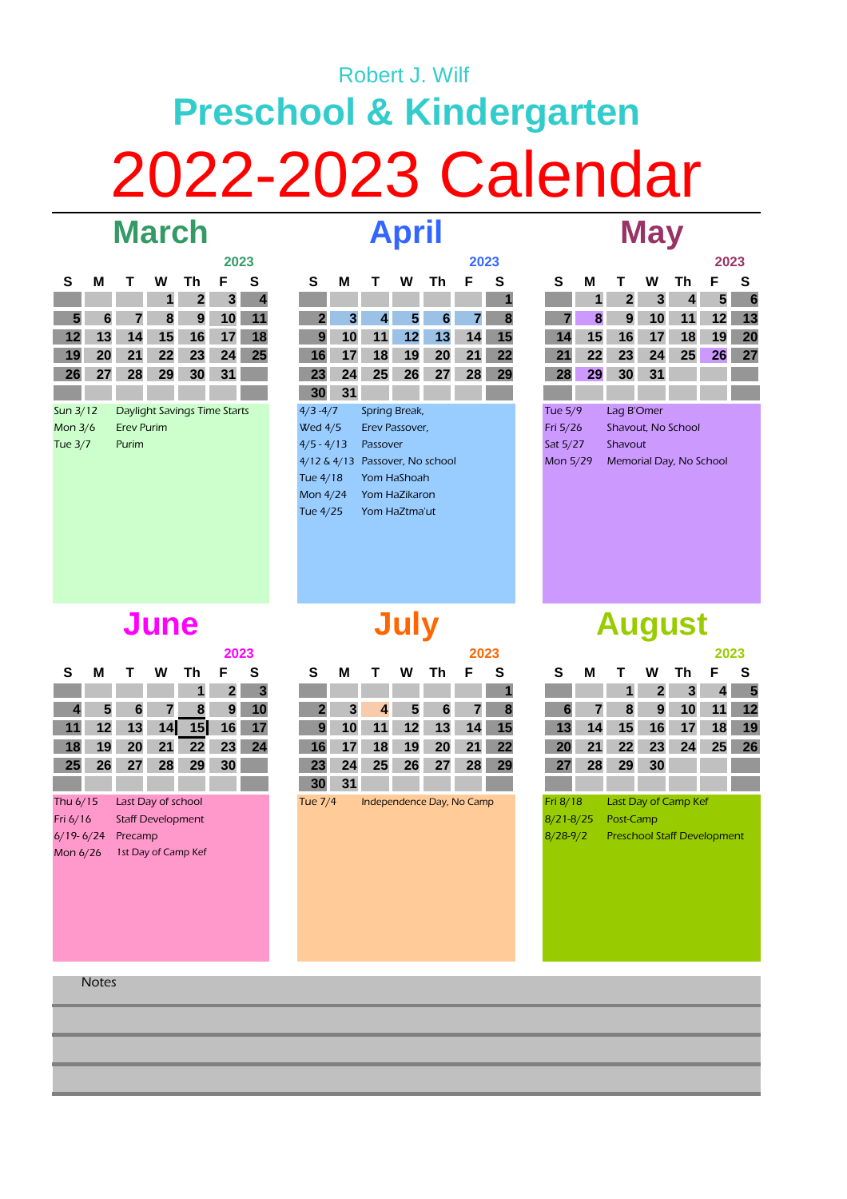# 2022-2023 Calendar **Preschool & Kindergarten** Robert J. Wilf **March April**

|                |    |                              |    |              | 2023 |    |
|----------------|----|------------------------------|----|--------------|------|----|
| S              | м  | т                            | w  | Th           | F    | S  |
|                |    |                              | 1  | $\mathbf{2}$ | 3    | 4  |
| 5              | 6  | 7                            | 8  | 9            | 10   | 11 |
| 12             | 13 | 14                           | 15 | 16           | 17   | 18 |
| 19             | 20 | 21                           | 22 | 23           | 24   | 25 |
| 26             | 27 | 28                           | 29 | 30           | 31   |    |
|                |    |                              |    |              |      |    |
| Sun 3/12       |    | Daylight Savings Time Starts |    |              |      |    |
| Mon $3/6$      |    | <b>Erev Purim</b>            |    |              |      |    |
| <b>Tue 3/7</b> |    | Purim                        |    |              |      |    |
|                |    |                              |    |              |      |    |

|                |    |                   |         |                                     | 2023 |           |                |    |          |                |                     | 2023 |    |          |    |                 |    |                         | 2023 |    |
|----------------|----|-------------------|---------|-------------------------------------|------|-----------|----------------|----|----------|----------------|---------------------|------|----|----------|----|-----------------|----|-------------------------|------|----|
| S              | М  |                   | w       | Τh                                  | F    | S         | S              | М  |          | w              | Τh                  | F    | S  | S        | М  |                 | W  | Τh                      | F    | S  |
|                |    |                   | 1       | $\mathbf{2}$                        | 3    | 4         |                |    |          |                |                     |      |    |          |    | 2               | 3  | 4                       | 5    | 6  |
| $5\phantom{1}$ | 6  |                   | 8       | 9                                   | 10   | 11        | 2              | 3  |          | 5              | 6                   |      | 8  |          | 8  | 9               | 10 | 11                      | 12   | 13 |
| 12             | 13 | 14                | 15      | 16                                  | 17   | 18        | 9              | 10 | 11       | 12             | 13                  | 14   | 15 | 14       | 15 | 16              | 17 | 18                      | 19   | 20 |
| 19             | 20 | 21                | $22 \,$ | 23                                  | 24   | <b>25</b> | 16             | 17 | 18       | 19             | 20                  | 21   | 22 | 21       | 22 | 23              | 24 | 25                      | 26   | 27 |
| 26             | 27 | 28                | 29      | 30                                  | 31   |           | 23             | 24 | 25       | 26             | 27                  | 28   | 29 | 28       | 29 | 30 <sub>1</sub> | 31 |                         |      |    |
|                |    |                   |         |                                     |      |           | 30             | 31 |          |                |                     |      |    |          |    |                 |    |                         |      |    |
| Sun 3/12       |    |                   |         | <b>Daylight Savings Time Starts</b> |      |           | $4/3 - 4/7$    |    |          | Spring Break,  |                     |      |    | Tue 5/9  |    | Lag B'Omer      |    |                         |      |    |
| Mon 3/6        |    | <b>Erev Purim</b> |         |                                     |      |           | <b>Wed 4/5</b> |    |          | Erev Passover, |                     |      |    | Fri 5/26 |    |                 |    | Shavout, No School      |      |    |
| Tue 3/7        |    | Purim             |         |                                     |      |           | $4/5 - 4/13$   |    | Passover |                |                     |      |    | Sat 5/27 |    | Shavout         |    |                         |      |    |
|                |    |                   |         |                                     |      |           | $4/12 \& 4/13$ |    |          |                | Passover, No school |      |    | Mon 5/29 |    |                 |    | Memorial Day, No School |      |    |
|                |    |                   |         |                                     |      |           | Tue 4/18       |    |          | Yom HaShoah    |                     |      |    |          |    |                 |    |                         |      |    |
|                |    |                   |         |                                     |      |           | Mon 4/24       |    |          | Yom HaZikaron  |                     |      |    |          |    |                 |    |                         |      |    |
|                |    |                   |         |                                     |      |           | Tue 4/25       |    |          | Yom HaZtma'ut  |                     |      |    |          |    |                 |    |                         |      |    |

## **May**

|          |    |                         |    |    | 2023 |    |
|----------|----|-------------------------|----|----|------|----|
| S        | М  | т                       | w  | Τh | F    | S  |
|          | 1  | $\mathbf{2}$            | 3  | 4  | 5    | 6  |
| 7        | 8  | 9                       | 10 | 11 | 12   | 13 |
| 14       | 15 | 16                      | 17 | 18 | 19   | 20 |
| 21       | 22 | 23                      | 24 | 25 | 26   | 27 |
| 28       | 29 | 30                      | 31 |    |      |    |
|          |    |                         |    |    |      |    |
| Tue 5/9  |    | Lag B'Omer              |    |    |      |    |
| Fri 5/26 |    | Shayout, No School      |    |    |      |    |
| Sat 5/27 |    | Shavout                 |    |    |      |    |
| Mon 5/29 |    | Memorial Day, No School |    |    |      |    |
|          |    |                         |    |    |      |    |

### **June**

|               |    |                          |    |                     | 2023 |    |                 |    |    |    |                           | 2023 |    |               |    |           |              |                                    | 2023 |  |
|---------------|----|--------------------------|----|---------------------|------|----|-----------------|----|----|----|---------------------------|------|----|---------------|----|-----------|--------------|------------------------------------|------|--|
| S             | м  | I.                       | w  | Th.                 | F    | S  | S               | м  |    | w  | Тh.                       | F    | S  | S             | м  |           | w            | Th.                                | F    |  |
|               |    |                          |    |                     | 2    | 3  |                 |    |    |    |                           |      |    |               |    |           | $\mathbf{2}$ | 3                                  | 4    |  |
| 4             | 5  | 6                        |    | 8                   | 9    | 10 |                 | 3  | 4  | 5  | 6                         | 7    | 8  | 6             |    | 8         | 9            | 10                                 | 11   |  |
| 11            | 12 | 13                       | 14 | 15                  | 16   | 17 | 9               | 10 | 11 | 12 | 13                        | 14   | 15 | 13            | 14 | 15        | 16           | 17                                 | 18   |  |
| 18            | 19 | 20                       | 21 | 22                  | 23   | 24 | 16              | 17 | 18 | 19 | 20                        | 21   | 22 | 20            | 21 | 22        | 23           | 24                                 | 25   |  |
| 25            | 26 | 27                       | 28 | 29                  | 30   |    | 23              | 24 | 25 | 26 | 27                        | 28   | 29 | 27            | 28 | 29        | 30           |                                    |      |  |
|               |    |                          |    |                     |      |    | 30 <sup>1</sup> | 31 |    |    |                           |      |    |               |    |           |              |                                    |      |  |
| Thu 6/15      |    | Last Day of school       |    |                     |      |    | Tue 7/4         |    |    |    | Independence Day, No Camp |      |    | Fri 8/18      |    |           |              | Last Day of Camp Kef               |      |  |
| Fri 6/16      |    | <b>Staff Development</b> |    |                     |      |    |                 |    |    |    |                           |      |    | $8/21 - 8/25$ |    | Post-Camp |              |                                    |      |  |
| $6/19 - 6/24$ |    | Precamp                  |    |                     |      |    |                 |    |    |    |                           |      |    | $8/28-9/2$    |    |           |              | <b>Preschool Staff Development</b> |      |  |
| Mon 6/26      |    |                          |    | 1st Day of Camp Kef |      |    |                 |    |    |    |                           |      |    |               |    |           |              |                                    |      |  |
|               |    |                          |    |                     |      |    |                 |    |    |    |                           |      |    |               |    |           |              |                                    |      |  |

**July**

|     |                 |        |       |         | 2023            |             |                 |       |                |   |                   | 2023 |             |   |                       |              |                 |         | 2023              |             |
|-----|-----------------|--------|-------|---------|-----------------|-------------|-----------------|-------|----------------|---|-------------------|------|-------------|---|-----------------------|--------------|-----------------|---------|-------------------|-------------|
| S . | M               | $\top$ | W     | Th F S  |                 |             | S.              | м     | $\top$         | W | - Th              | F S  |             |   | м<br>S.               | $\mathbf{T}$ | W               | - Th    | F S               |             |
|     |                 |        |       | 4 F     |                 | $2 \quad 3$ |                 |       |                |   |                   |      | <u> 1</u> 1 |   |                       |              | $-2$            | $_{3}$  |                   | $4 \quad 5$ |
|     | $ 4 $ 5         |        | 6 7   | 8 9 10  |                 |             | $-2-$           |       | $\overline{4}$ |   | $6 \mid$<br>$5 -$ |      | 7 8         | 6 | ▼7⊾                   | - 8          | 9               |         | $10$ 11 12        |             |
| 11  | 12 <sup>7</sup> | 13     |       | $14$ 15 |                 | 16 17       |                 |       | $10$ 11        |   | 12 13 14 15       |      |             |   |                       | 13 14 15     |                 | $16$ 17 |                   | 18 19       |
|     | 18 19           | 20     | 21    | $-22$   |                 | 23 24       |                 | 16 17 | 18             |   | 19 20 21 22       |      |             |   |                       | 20 21 22 23  |                 | 24      | 25 26             |             |
|     | 25 26           |        | 27 28 | 29      | 30 <sup>1</sup> |             |                 | 23 24 | 25             |   | 26 27             |      | 28 29       |   | 28<br>27 <sup>1</sup> | 29           | 30 <sup>7</sup> |         | <b>The Common</b> |             |
|     |                 |        |       |         |                 |             | 30 <sup>1</sup> | $-31$ |                |   |                   |      |             |   |                       |              |                 |         |                   |             |

### **August**

|               |    |                                    |              |    | 2023 |    |
|---------------|----|------------------------------------|--------------|----|------|----|
| S             | м  | т                                  | w            | Th | F    | S  |
|               |    | 1                                  | $\mathbf{2}$ | 3  | 4    | 5  |
| 6             | 7  | 8                                  | 9            | 10 | 11   | 12 |
| 13            | 14 | 15                                 | 16           | 17 | 18   | 19 |
| 20            | 21 | 22                                 | 23           | 24 | 25   | 26 |
| 27            | 28 | 29                                 | 30           |    |      |    |
|               |    |                                    |              |    |      |    |
| Fri 8/18      |    | Last Day of Camp Kef               |              |    |      |    |
| $3/21 - 8/25$ |    | Post-Camp                          |              |    |      |    |
| $3/28 - 9/2$  |    | <b>Preschool Staff Development</b> |              |    |      |    |

**Notes**